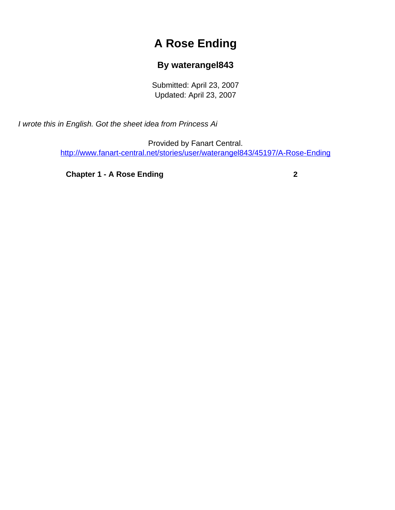## **A Rose Ending**

## **By waterangel843**

Submitted: April 23, 2007 Updated: April 23, 2007

<span id="page-0-0"></span>I wrote this in English. Got the sheet idea from Princess Ai

Provided by Fanart Central. [http://www.fanart-central.net/stories/user/waterangel843/45197/A-Rose-Ending](#page-0-0)

**[Chapter 1 - A Rose Ending](#page-1-0) [2](#page-1-0)**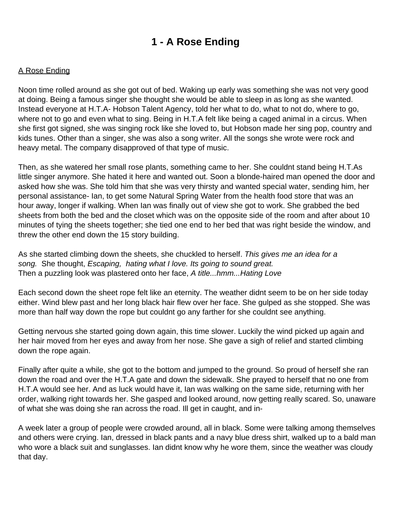## **1 - A Rose Ending**

## <span id="page-1-0"></span>A Rose Ending

Noon time rolled around as she got out of bed. Waking up early was something she was not very good at doing. Being a famous singer she thought she would be able to sleep in as long as she wanted. Instead everyone at H.T.A- Hobson Talent Agency, told her what to do, what to not do, where to go, where not to go and even what to sing. Being in H.T.A felt like being a caged animal in a circus. When she first got signed, she was singing rock like she loved to, but Hobson made her sing pop, country and kids tunes. Other than a singer, she was also a song writer. All the songs she wrote were rock and heavy metal. The company disapproved of that type of music.

Then, as she watered her small rose plants, something came to her. She couldn t stand being H.T.A s little singer anymore. She hated it here and wanted out. Soon a blonde-haired man opened the door and asked how she was. She told him that she was very thirsty and wanted special water, sending him, her personal assistance- Ian, to get some Natural Spring Water from the health food store that was an hour away, longer if walking. When Ian was finally out of view she got to work. She grabbed the bed sheets from both the bed and the closet which was on the opposite side of the room and after about 10 minutes of tying the sheets together; she tied one end to her bed that was right beside the window, and threw the other end down the 15 story building.

As she started climbing down the sheets, she chuckled to herself. This gives me an idea for a song. She thought, Escaping, hating what I love. It s going to sound great. Then a puzzling look was plastered onto her face, A title...hmm...Hating Love

Each second down the sheet rope felt like an eternity. The weather didn t seem to be on her side today either. Wind blew past and her long black hair flew over her face. She gulped as she stopped. She was more than half way down the rope but couldn t go any farther for she couldn t see anything.

Getting nervous she started going down again, this time slower. Luckily the wind picked up again and her hair moved from her eyes and away from her nose. She gave a sigh of relief and started climbing down the rope again.

Finally after quite a while, she got to the bottom and jumped to the ground. So proud of herself she ran down the road and over the H.T.A gate and down the sidewalk. She prayed to herself that no one from H.T.A would see her. And as luck would have it, Ian was walking on the same side, returning with her order, walking right towards her. She gasped and looked around, now getting really scared. So, unaware of what she was doing she ran across the road. Ill get in caught, and in-

A week later a group of people were crowded around, all in black. Some were talking among themselves and others were crying. Ian, dressed in black pants and a navy blue dress shirt, walked up to a bald man who wore a black suit and sunglasses. Ian didn t know why he wore them, since the weather was cloudy that day.